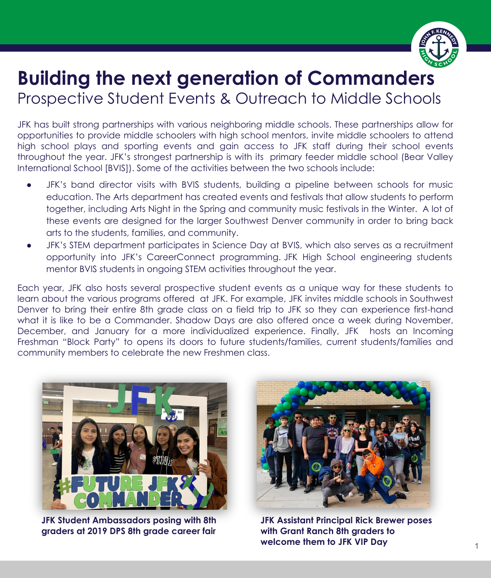

## **Building the next generation of Commanders** Prospective Student Events & Outreach to Middle Schools

JFK has built strong partnerships with various neighboring middle schools. These partnerships allow for opportunities to provide middle schoolers with high school mentors, invite middle schoolers to attend high school plays and sporting events and gain access to JFK staff during their school events throughout the year. JFK's strongest partnership is with its primary feeder middle school (Bear Valley International School [BVIS]). Some of the activities between the two schools include:

- JFK's band director visits with BVIS students, building a pipeline between schools for music education. The Arts department has created events and festivals that allow students to perform together, including Arts Night in the Spring and community music festivals in the Winter. A lot of these events are designed for the larger Southwest Denver community in order to bring back arts to the students, families, and community.
- JFK's STEM department participates in Science Day at BVIS, which also serves as a recruitment opportunity into JFK's CareerConnect programming. JFK High School engineering students mentor BVIS students in ongoing STEM activities throughout the year.

Each year, JFK also hosts several prospective student events as a unique way for these students to learn about the various programs offered at JFK. For example, JFK invites middle schools in Southwest Denver to bring their entire 8th grade class on a field trip to JFK so they can experience first-hand what it is like to be a Commander. Shadow Days are also offered once a week during November, December, and January for a more individualized experience. Finally, JFK hosts an Incoming Freshman "Block Party" to opens its doors to future students/families, current students/families and community members to celebrate the new Freshmen class.



**JFK Student Ambassadors posing with 8th graders at 2019 DPS 8th grade career fair**



**JFK Assistant Principal Rick Brewer poses with Grant Ranch 8th graders to welcome them to JFK VIP Day**